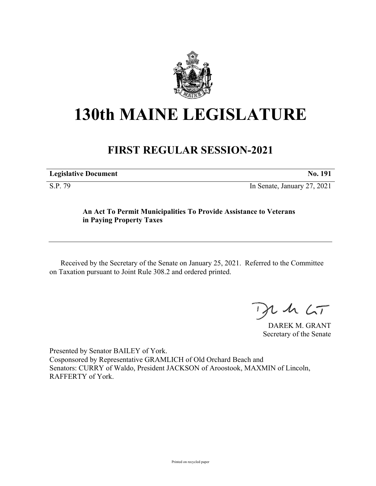

## **130th MAINE LEGISLATURE**

## **FIRST REGULAR SESSION-2021**

| <b>Legislative Document</b><br>No. |
|------------------------------------|
|------------------------------------|

S.P. 79 In Senate, January 27, 2021

## **An Act To Permit Municipalities To Provide Assistance to Veterans in Paying Property Taxes**

Received by the Secretary of the Senate on January 25, 2021. Referred to the Committee on Taxation pursuant to Joint Rule 308.2 and ordered printed.

 $125$ 

DAREK M. GRANT Secretary of the Senate

Presented by Senator BAILEY of York. Cosponsored by Representative GRAMLICH of Old Orchard Beach and Senators: CURRY of Waldo, President JACKSON of Aroostook, MAXMIN of Lincoln, RAFFERTY of York.